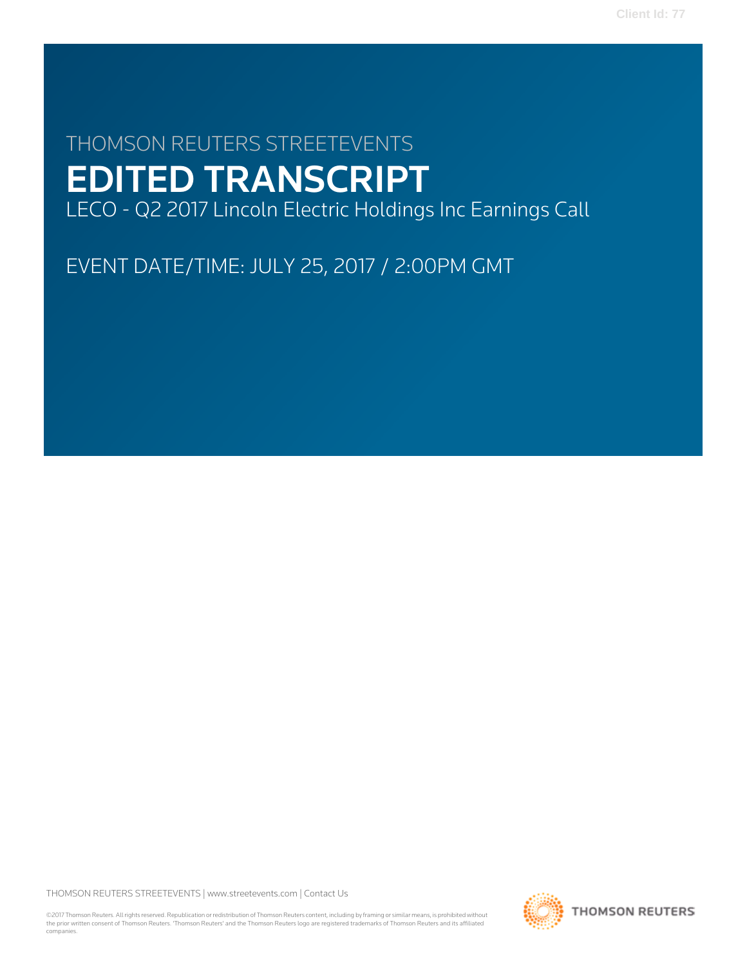# THOMSON REUTERS STREETEVENTS EDITED TRANSCRIPT LECO - Q2 2017 Lincoln Electric Holdings Inc Earnings Call

EVENT DATE/TIME: JULY 25, 2017 / 2:00PM GMT

THOMSON REUTERS STREETEVENTS | [www.streetevents.com](http://www.streetevents.com) | [Contact Us](http://www010.streetevents.com/contact.asp)

©2017 Thomson Reuters. All rights reserved. Republication or redistribution of Thomson Reuters content, including by framing or similar means, is prohibited without the prior written consent of Thomson Reuters. 'Thomson Reuters' and the Thomson Reuters logo are registered trademarks of Thomson Reuters and its affiliated companies.

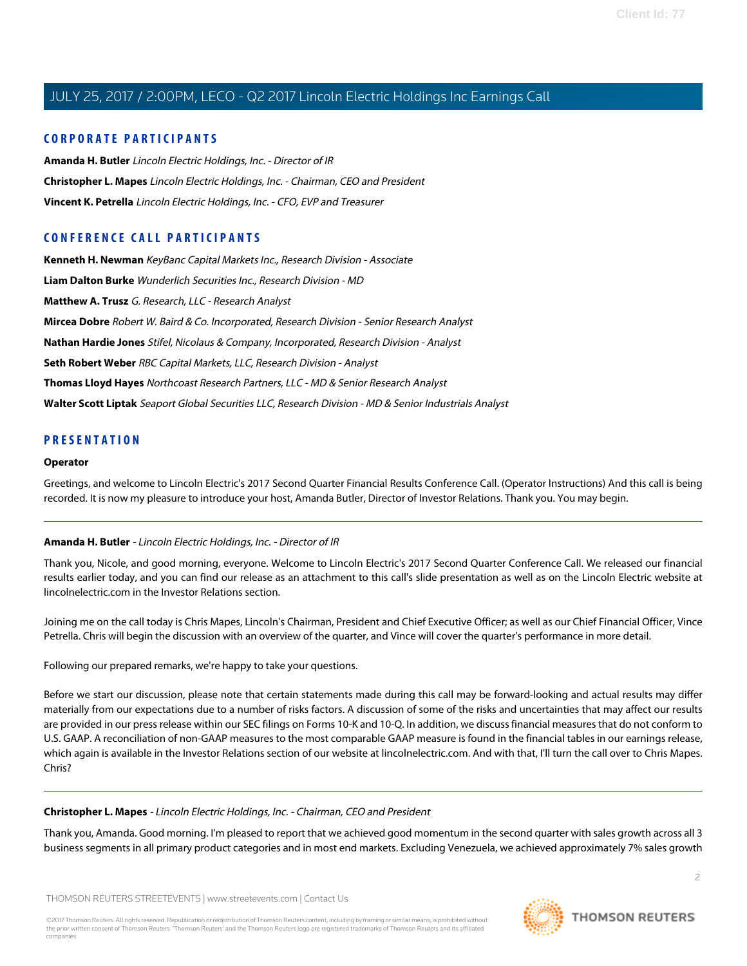#### **CORPORATE PARTICIPANTS**

**[Amanda H. Butler](#page-1-0)** Lincoln Electric Holdings, Inc. - Director of IR **[Christopher L. Mapes](#page-1-1)** Lincoln Electric Holdings, Inc. - Chairman, CEO and President **[Vincent K. Petrella](#page-2-0)** Lincoln Electric Holdings, Inc. - CFO, EVP and Treasurer

### **CONFERENCE CALL PARTICIPANTS**

**[Kenneth H. Newman](#page-5-0)** KeyBanc Capital Markets Inc., Research Division - Associate **[Liam Dalton Burke](#page-8-0)** Wunderlich Securities Inc., Research Division - MD **[Matthew A. Trusz](#page-9-0)** G. Research, LLC - Research Analyst **[Mircea Dobre](#page-6-0)** Robert W. Baird & Co. Incorporated, Research Division - Senior Research Analyst **[Nathan Hardie Jones](#page-4-0)** Stifel, Nicolaus & Company, Incorporated, Research Division - Analyst **[Seth Robert Weber](#page-9-1)** RBC Capital Markets, LLC, Research Division - Analyst **[Thomas Lloyd Hayes](#page-8-1)** Northcoast Research Partners, LLC - MD & Senior Research Analyst **[Walter Scott Liptak](#page-6-1)** Seaport Global Securities LLC, Research Division - MD & Senior Industrials Analyst

#### **PRESENTATION**

#### **Operator**

<span id="page-1-0"></span>Greetings, and welcome to Lincoln Electric's 2017 Second Quarter Financial Results Conference Call. (Operator Instructions) And this call is being recorded. It is now my pleasure to introduce your host, Amanda Butler, Director of Investor Relations. Thank you. You may begin.

#### **Amanda H. Butler** - Lincoln Electric Holdings, Inc. - Director of IR

Thank you, Nicole, and good morning, everyone. Welcome to Lincoln Electric's 2017 Second Quarter Conference Call. We released our financial results earlier today, and you can find our release as an attachment to this call's slide presentation as well as on the Lincoln Electric website at lincolnelectric.com in the Investor Relations section.

Joining me on the call today is Chris Mapes, Lincoln's Chairman, President and Chief Executive Officer; as well as our Chief Financial Officer, Vince Petrella. Chris will begin the discussion with an overview of the quarter, and Vince will cover the quarter's performance in more detail.

Following our prepared remarks, we're happy to take your questions.

<span id="page-1-1"></span>Before we start our discussion, please note that certain statements made during this call may be forward-looking and actual results may differ materially from our expectations due to a number of risks factors. A discussion of some of the risks and uncertainties that may affect our results are provided in our press release within our SEC filings on Forms 10-K and 10-Q. In addition, we discuss financial measures that do not conform to U.S. GAAP. A reconciliation of non-GAAP measures to the most comparable GAAP measure is found in the financial tables in our earnings release, which again is available in the Investor Relations section of our website at lincolnelectric.com. And with that, I'll turn the call over to Chris Mapes. Chris?

#### **Christopher L. Mapes** - Lincoln Electric Holdings, Inc. - Chairman, CEO and President

Thank you, Amanda. Good morning. I'm pleased to report that we achieved good momentum in the second quarter with sales growth across all 3 business segments in all primary product categories and in most end markets. Excluding Venezuela, we achieved approximately 7% sales growth

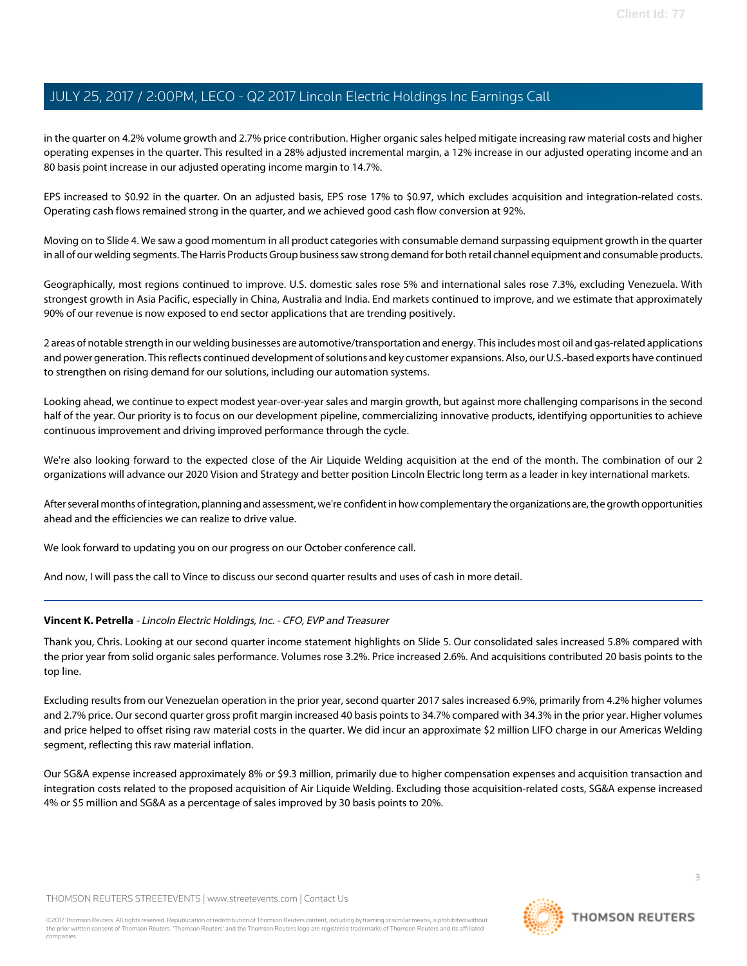in the quarter on 4.2% volume growth and 2.7% price contribution. Higher organic sales helped mitigate increasing raw material costs and higher operating expenses in the quarter. This resulted in a 28% adjusted incremental margin, a 12% increase in our adjusted operating income and an 80 basis point increase in our adjusted operating income margin to 14.7%.

EPS increased to \$0.92 in the quarter. On an adjusted basis, EPS rose 17% to \$0.97, which excludes acquisition and integration-related costs. Operating cash flows remained strong in the quarter, and we achieved good cash flow conversion at 92%.

Moving on to Slide 4. We saw a good momentum in all product categories with consumable demand surpassing equipment growth in the quarter in all of our welding segments. The Harris Products Group business saw strong demand for both retail channel equipment and consumable products.

Geographically, most regions continued to improve. U.S. domestic sales rose 5% and international sales rose 7.3%, excluding Venezuela. With strongest growth in Asia Pacific, especially in China, Australia and India. End markets continued to improve, and we estimate that approximately 90% of our revenue is now exposed to end sector applications that are trending positively.

2 areas of notable strength in our welding businesses are automotive/transportation and energy. This includes most oil and gas-related applications and power generation. This reflects continued development of solutions and key customer expansions. Also, our U.S.-based exports have continued to strengthen on rising demand for our solutions, including our automation systems.

Looking ahead, we continue to expect modest year-over-year sales and margin growth, but against more challenging comparisons in the second half of the year. Our priority is to focus on our development pipeline, commercializing innovative products, identifying opportunities to achieve continuous improvement and driving improved performance through the cycle.

We're also looking forward to the expected close of the Air Liquide Welding acquisition at the end of the month. The combination of our 2 organizations will advance our 2020 Vision and Strategy and better position Lincoln Electric long term as a leader in key international markets.

After several months of integration, planning and assessment, we're confident in how complementary the organizations are, the growth opportunities ahead and the efficiencies we can realize to drive value.

<span id="page-2-0"></span>We look forward to updating you on our progress on our October conference call.

And now, I will pass the call to Vince to discuss our second quarter results and uses of cash in more detail.

#### **Vincent K. Petrella** - Lincoln Electric Holdings, Inc. - CFO, EVP and Treasurer

Thank you, Chris. Looking at our second quarter income statement highlights on Slide 5. Our consolidated sales increased 5.8% compared with the prior year from solid organic sales performance. Volumes rose 3.2%. Price increased 2.6%. And acquisitions contributed 20 basis points to the top line.

Excluding results from our Venezuelan operation in the prior year, second quarter 2017 sales increased 6.9%, primarily from 4.2% higher volumes and 2.7% price. Our second quarter gross profit margin increased 40 basis points to 34.7% compared with 34.3% in the prior year. Higher volumes and price helped to offset rising raw material costs in the quarter. We did incur an approximate \$2 million LIFO charge in our Americas Welding segment, reflecting this raw material inflation.

Our SG&A expense increased approximately 8% or \$9.3 million, primarily due to higher compensation expenses and acquisition transaction and integration costs related to the proposed acquisition of Air Liquide Welding. Excluding those acquisition-related costs, SG&A expense increased 4% or \$5 million and SG&A as a percentage of sales improved by 30 basis points to 20%.

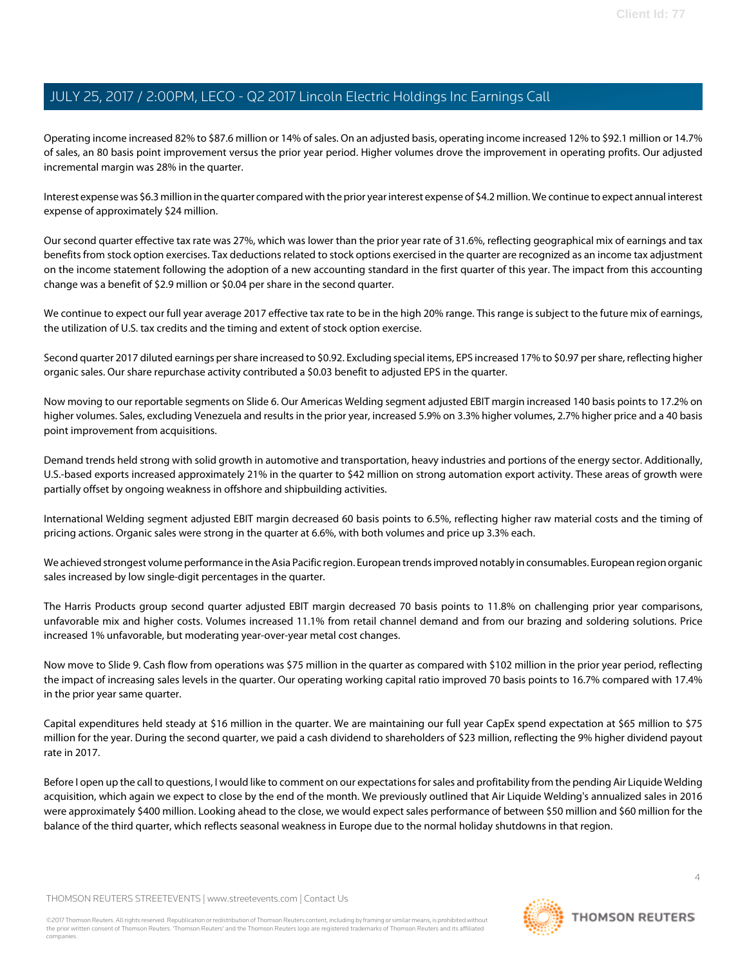Operating income increased 82% to \$87.6 million or 14% of sales. On an adjusted basis, operating income increased 12% to \$92.1 million or 14.7% of sales, an 80 basis point improvement versus the prior year period. Higher volumes drove the improvement in operating profits. Our adjusted incremental margin was 28% in the quarter.

Interest expense was \$6.3 million in the quarter compared with the prior year interest expense of \$4.2 million. We continue to expect annual interest expense of approximately \$24 million.

Our second quarter effective tax rate was 27%, which was lower than the prior year rate of 31.6%, reflecting geographical mix of earnings and tax benefits from stock option exercises. Tax deductions related to stock options exercised in the quarter are recognized as an income tax adjustment on the income statement following the adoption of a new accounting standard in the first quarter of this year. The impact from this accounting change was a benefit of \$2.9 million or \$0.04 per share in the second quarter.

We continue to expect our full year average 2017 effective tax rate to be in the high 20% range. This range is subject to the future mix of earnings, the utilization of U.S. tax credits and the timing and extent of stock option exercise.

Second quarter 2017 diluted earnings per share increased to \$0.92. Excluding special items, EPS increased 17% to \$0.97 per share, reflecting higher organic sales. Our share repurchase activity contributed a \$0.03 benefit to adjusted EPS in the quarter.

Now moving to our reportable segments on Slide 6. Our Americas Welding segment adjusted EBIT margin increased 140 basis points to 17.2% on higher volumes. Sales, excluding Venezuela and results in the prior year, increased 5.9% on 3.3% higher volumes, 2.7% higher price and a 40 basis point improvement from acquisitions.

Demand trends held strong with solid growth in automotive and transportation, heavy industries and portions of the energy sector. Additionally, U.S.-based exports increased approximately 21% in the quarter to \$42 million on strong automation export activity. These areas of growth were partially offset by ongoing weakness in offshore and shipbuilding activities.

International Welding segment adjusted EBIT margin decreased 60 basis points to 6.5%, reflecting higher raw material costs and the timing of pricing actions. Organic sales were strong in the quarter at 6.6%, with both volumes and price up 3.3% each.

We achieved strongest volume performance in the Asia Pacific region. European trends improved notably in consumables. European region organic sales increased by low single-digit percentages in the quarter.

The Harris Products group second quarter adjusted EBIT margin decreased 70 basis points to 11.8% on challenging prior year comparisons, unfavorable mix and higher costs. Volumes increased 11.1% from retail channel demand and from our brazing and soldering solutions. Price increased 1% unfavorable, but moderating year-over-year metal cost changes.

Now move to Slide 9. Cash flow from operations was \$75 million in the quarter as compared with \$102 million in the prior year period, reflecting the impact of increasing sales levels in the quarter. Our operating working capital ratio improved 70 basis points to 16.7% compared with 17.4% in the prior year same quarter.

Capital expenditures held steady at \$16 million in the quarter. We are maintaining our full year CapEx spend expectation at \$65 million to \$75 million for the year. During the second quarter, we paid a cash dividend to shareholders of \$23 million, reflecting the 9% higher dividend payout rate in 2017.

Before I open up the call to questions, I would like to comment on our expectations for sales and profitability from the pending Air Liquide Welding acquisition, which again we expect to close by the end of the month. We previously outlined that Air Liquide Welding's annualized sales in 2016 were approximately \$400 million. Looking ahead to the close, we would expect sales performance of between \$50 million and \$60 million for the balance of the third quarter, which reflects seasonal weakness in Europe due to the normal holiday shutdowns in that region.

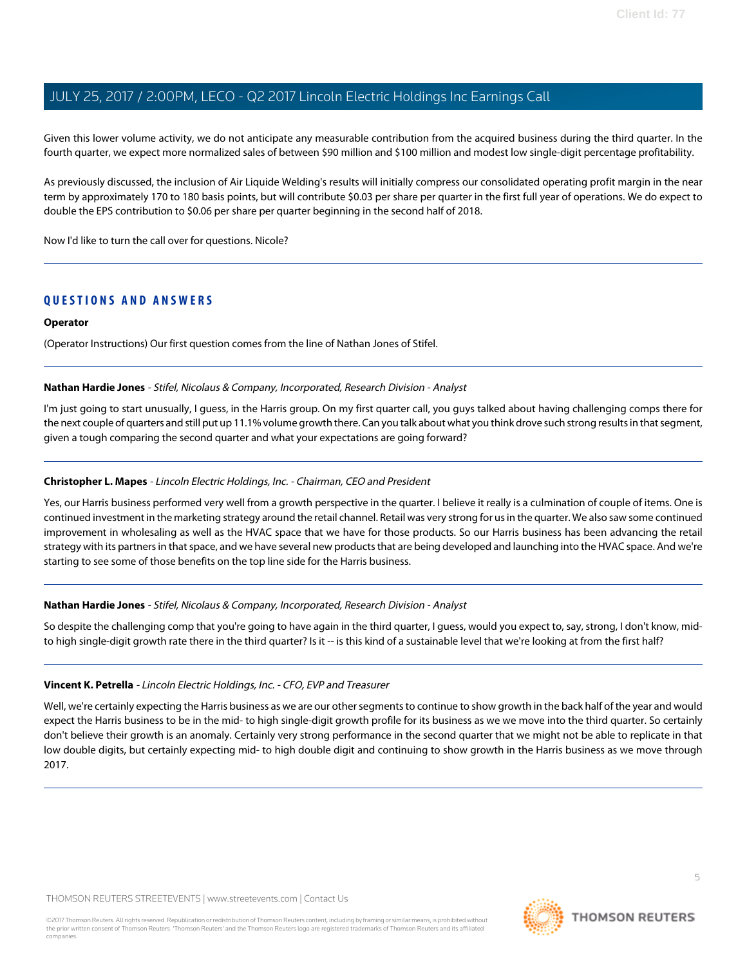Given this lower volume activity, we do not anticipate any measurable contribution from the acquired business during the third quarter. In the fourth quarter, we expect more normalized sales of between \$90 million and \$100 million and modest low single-digit percentage profitability.

As previously discussed, the inclusion of Air Liquide Welding's results will initially compress our consolidated operating profit margin in the near term by approximately 170 to 180 basis points, but will contribute \$0.03 per share per quarter in the first full year of operations. We do expect to double the EPS contribution to \$0.06 per share per quarter beginning in the second half of 2018.

Now I'd like to turn the call over for questions. Nicole?

### **QUESTIONS AND ANSWERS**

#### **Operator**

<span id="page-4-0"></span>(Operator Instructions) Our first question comes from the line of Nathan Jones of Stifel.

#### **Nathan Hardie Jones** - Stifel, Nicolaus & Company, Incorporated, Research Division - Analyst

I'm just going to start unusually, I guess, in the Harris group. On my first quarter call, you guys talked about having challenging comps there for the next couple of quarters and still put up 11.1% volume growth there. Can you talk about what you think drove such strong results in that segment, given a tough comparing the second quarter and what your expectations are going forward?

#### **Christopher L. Mapes** - Lincoln Electric Holdings, Inc. - Chairman, CEO and President

Yes, our Harris business performed very well from a growth perspective in the quarter. I believe it really is a culmination of couple of items. One is continued investment in the marketing strategy around the retail channel. Retail was very strong for us in the quarter. We also saw some continued improvement in wholesaling as well as the HVAC space that we have for those products. So our Harris business has been advancing the retail strategy with its partners in that space, and we have several new products that are being developed and launching into the HVAC space. And we're starting to see some of those benefits on the top line side for the Harris business.

#### **Nathan Hardie Jones** - Stifel, Nicolaus & Company, Incorporated, Research Division - Analyst

So despite the challenging comp that you're going to have again in the third quarter, I guess, would you expect to, say, strong, I don't know, midto high single-digit growth rate there in the third quarter? Is it -- is this kind of a sustainable level that we're looking at from the first half?

#### **Vincent K. Petrella** - Lincoln Electric Holdings, Inc. - CFO, EVP and Treasurer

Well, we're certainly expecting the Harris business as we are our other segments to continue to show growth in the back half of the year and would expect the Harris business to be in the mid- to high single-digit growth profile for its business as we we move into the third quarter. So certainly don't believe their growth is an anomaly. Certainly very strong performance in the second quarter that we might not be able to replicate in that low double digits, but certainly expecting mid- to high double digit and continuing to show growth in the Harris business as we move through 2017.

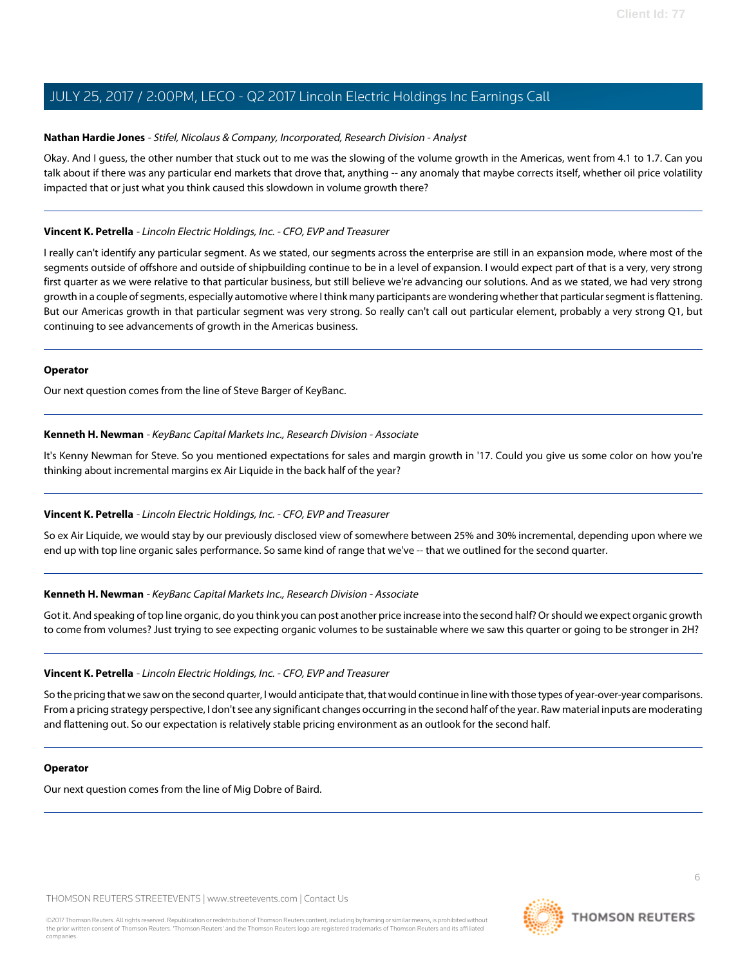#### **Nathan Hardie Jones** - Stifel, Nicolaus & Company, Incorporated, Research Division - Analyst

Okay. And I guess, the other number that stuck out to me was the slowing of the volume growth in the Americas, went from 4.1 to 1.7. Can you talk about if there was any particular end markets that drove that, anything -- any anomaly that maybe corrects itself, whether oil price volatility impacted that or just what you think caused this slowdown in volume growth there?

#### **Vincent K. Petrella** - Lincoln Electric Holdings, Inc. - CFO, EVP and Treasurer

I really can't identify any particular segment. As we stated, our segments across the enterprise are still in an expansion mode, where most of the segments outside of offshore and outside of shipbuilding continue to be in a level of expansion. I would expect part of that is a very, very strong first quarter as we were relative to that particular business, but still believe we're advancing our solutions. And as we stated, we had very strong growth in a couple of segments, especially automotive where I think many participants are wondering whether that particular segment is flattening. But our Americas growth in that particular segment was very strong. So really can't call out particular element, probably a very strong Q1, but continuing to see advancements of growth in the Americas business.

#### **Operator**

<span id="page-5-0"></span>Our next question comes from the line of Steve Barger of KeyBanc.

#### **Kenneth H. Newman** - KeyBanc Capital Markets Inc., Research Division - Associate

It's Kenny Newman for Steve. So you mentioned expectations for sales and margin growth in '17. Could you give us some color on how you're thinking about incremental margins ex Air Liquide in the back half of the year?

#### **Vincent K. Petrella** - Lincoln Electric Holdings, Inc. - CFO, EVP and Treasurer

So ex Air Liquide, we would stay by our previously disclosed view of somewhere between 25% and 30% incremental, depending upon where we end up with top line organic sales performance. So same kind of range that we've -- that we outlined for the second quarter.

#### **Kenneth H. Newman** - KeyBanc Capital Markets Inc., Research Division - Associate

Got it. And speaking of top line organic, do you think you can post another price increase into the second half? Or should we expect organic growth to come from volumes? Just trying to see expecting organic volumes to be sustainable where we saw this quarter or going to be stronger in 2H?

#### **Vincent K. Petrella** - Lincoln Electric Holdings, Inc. - CFO, EVP and Treasurer

So the pricing that we saw on the second quarter, I would anticipate that, that would continue in line with those types of year-over-year comparisons. From a pricing strategy perspective, I don't see any significant changes occurring in the second half of the year. Raw material inputs are moderating and flattening out. So our expectation is relatively stable pricing environment as an outlook for the second half.

#### **Operator**

Our next question comes from the line of Mig Dobre of Baird.

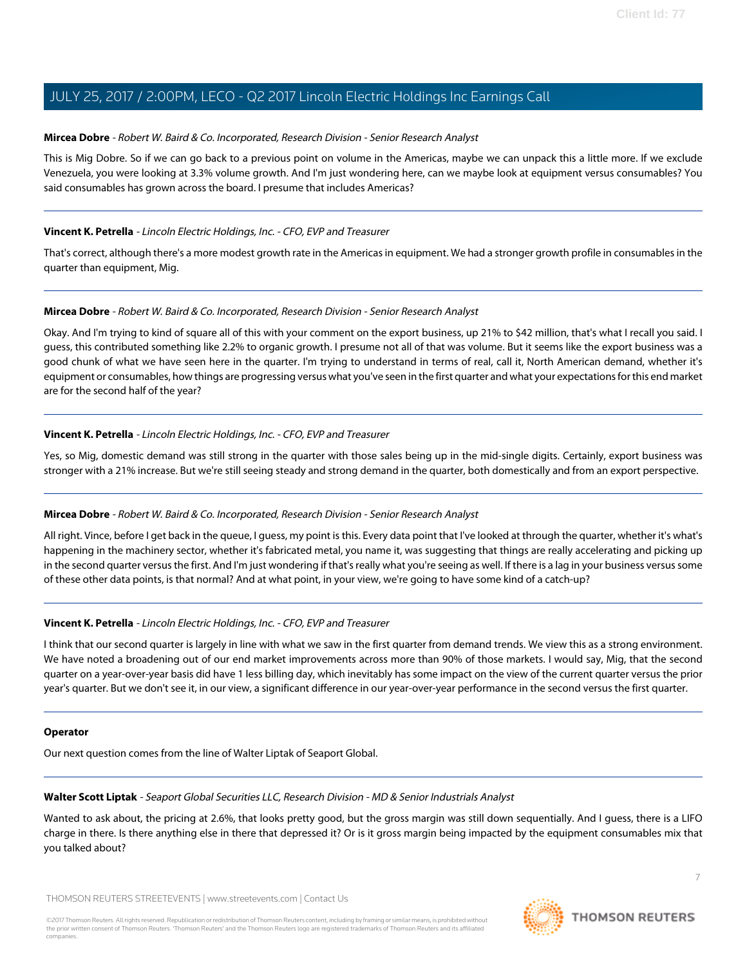#### <span id="page-6-0"></span>**Mircea Dobre** - Robert W. Baird & Co. Incorporated, Research Division - Senior Research Analyst

This is Mig Dobre. So if we can go back to a previous point on volume in the Americas, maybe we can unpack this a little more. If we exclude Venezuela, you were looking at 3.3% volume growth. And I'm just wondering here, can we maybe look at equipment versus consumables? You said consumables has grown across the board. I presume that includes Americas?

#### **Vincent K. Petrella** - Lincoln Electric Holdings, Inc. - CFO, EVP and Treasurer

That's correct, although there's a more modest growth rate in the Americas in equipment. We had a stronger growth profile in consumables in the quarter than equipment, Mig.

#### **Mircea Dobre** - Robert W. Baird & Co. Incorporated, Research Division - Senior Research Analyst

Okay. And I'm trying to kind of square all of this with your comment on the export business, up 21% to \$42 million, that's what I recall you said. I guess, this contributed something like 2.2% to organic growth. I presume not all of that was volume. But it seems like the export business was a good chunk of what we have seen here in the quarter. I'm trying to understand in terms of real, call it, North American demand, whether it's equipment or consumables, how things are progressing versus what you've seen in the first quarter and what your expectations for this end market are for the second half of the year?

#### **Vincent K. Petrella** - Lincoln Electric Holdings, Inc. - CFO, EVP and Treasurer

Yes, so Mig, domestic demand was still strong in the quarter with those sales being up in the mid-single digits. Certainly, export business was stronger with a 21% increase. But we're still seeing steady and strong demand in the quarter, both domestically and from an export perspective.

#### **Mircea Dobre** - Robert W. Baird & Co. Incorporated, Research Division - Senior Research Analyst

All right. Vince, before I get back in the queue, I guess, my point is this. Every data point that I've looked at through the quarter, whether it's what's happening in the machinery sector, whether it's fabricated metal, you name it, was suggesting that things are really accelerating and picking up in the second quarter versus the first. And I'm just wondering if that's really what you're seeing as well. If there is a lag in your business versus some of these other data points, is that normal? And at what point, in your view, we're going to have some kind of a catch-up?

#### **Vincent K. Petrella** - Lincoln Electric Holdings, Inc. - CFO, EVP and Treasurer

I think that our second quarter is largely in line with what we saw in the first quarter from demand trends. We view this as a strong environment. We have noted a broadening out of our end market improvements across more than 90% of those markets. I would say, Mig, that the second quarter on a year-over-year basis did have 1 less billing day, which inevitably has some impact on the view of the current quarter versus the prior year's quarter. But we don't see it, in our view, a significant difference in our year-over-year performance in the second versus the first quarter.

#### <span id="page-6-1"></span>**Operator**

Our next question comes from the line of Walter Liptak of Seaport Global.

### **Walter Scott Liptak** - Seaport Global Securities LLC, Research Division - MD & Senior Industrials Analyst

Wanted to ask about, the pricing at 2.6%, that looks pretty good, but the gross margin was still down sequentially. And I guess, there is a LIFO charge in there. Is there anything else in there that depressed it? Or is it gross margin being impacted by the equipment consumables mix that you talked about?

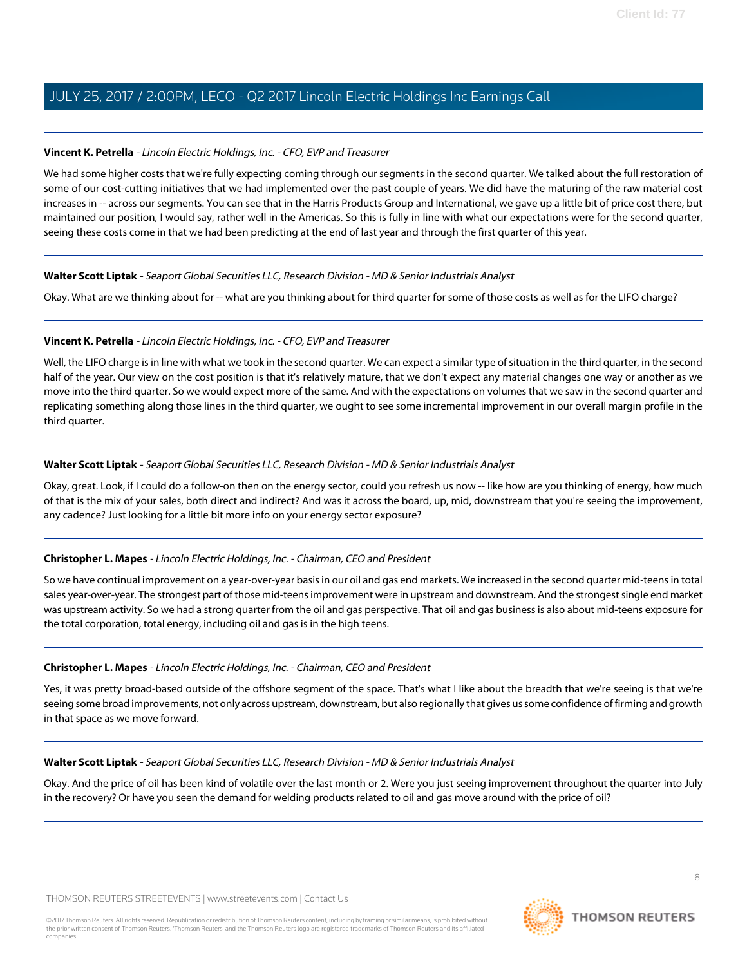#### **Vincent K. Petrella** - Lincoln Electric Holdings, Inc. - CFO, EVP and Treasurer

We had some higher costs that we're fully expecting coming through our segments in the second quarter. We talked about the full restoration of some of our cost-cutting initiatives that we had implemented over the past couple of years. We did have the maturing of the raw material cost increases in -- across our segments. You can see that in the Harris Products Group and International, we gave up a little bit of price cost there, but maintained our position, I would say, rather well in the Americas. So this is fully in line with what our expectations were for the second quarter, seeing these costs come in that we had been predicting at the end of last year and through the first quarter of this year.

#### **Walter Scott Liptak** - Seaport Global Securities LLC, Research Division - MD & Senior Industrials Analyst

Okay. What are we thinking about for -- what are you thinking about for third quarter for some of those costs as well as for the LIFO charge?

#### **Vincent K. Petrella** - Lincoln Electric Holdings, Inc. - CFO, EVP and Treasurer

Well, the LIFO charge is in line with what we took in the second quarter. We can expect a similar type of situation in the third quarter, in the second half of the year. Our view on the cost position is that it's relatively mature, that we don't expect any material changes one way or another as we move into the third quarter. So we would expect more of the same. And with the expectations on volumes that we saw in the second quarter and replicating something along those lines in the third quarter, we ought to see some incremental improvement in our overall margin profile in the third quarter.

#### **Walter Scott Liptak** - Seaport Global Securities LLC, Research Division - MD & Senior Industrials Analyst

Okay, great. Look, if I could do a follow-on then on the energy sector, could you refresh us now -- like how are you thinking of energy, how much of that is the mix of your sales, both direct and indirect? And was it across the board, up, mid, downstream that you're seeing the improvement, any cadence? Just looking for a little bit more info on your energy sector exposure?

#### **Christopher L. Mapes** - Lincoln Electric Holdings, Inc. - Chairman, CEO and President

So we have continual improvement on a year-over-year basis in our oil and gas end markets. We increased in the second quarter mid-teens in total sales year-over-year. The strongest part of those mid-teens improvement were in upstream and downstream. And the strongest single end market was upstream activity. So we had a strong quarter from the oil and gas perspective. That oil and gas business is also about mid-teens exposure for the total corporation, total energy, including oil and gas is in the high teens.

#### **Christopher L. Mapes** - Lincoln Electric Holdings, Inc. - Chairman, CEO and President

Yes, it was pretty broad-based outside of the offshore segment of the space. That's what I like about the breadth that we're seeing is that we're seeing some broad improvements, not only across upstream, downstream, but also regionally that gives us some confidence of firming and growth in that space as we move forward.

#### **Walter Scott Liptak** - Seaport Global Securities LLC, Research Division - MD & Senior Industrials Analyst

Okay. And the price of oil has been kind of volatile over the last month or 2. Were you just seeing improvement throughout the quarter into July in the recovery? Or have you seen the demand for welding products related to oil and gas move around with the price of oil?

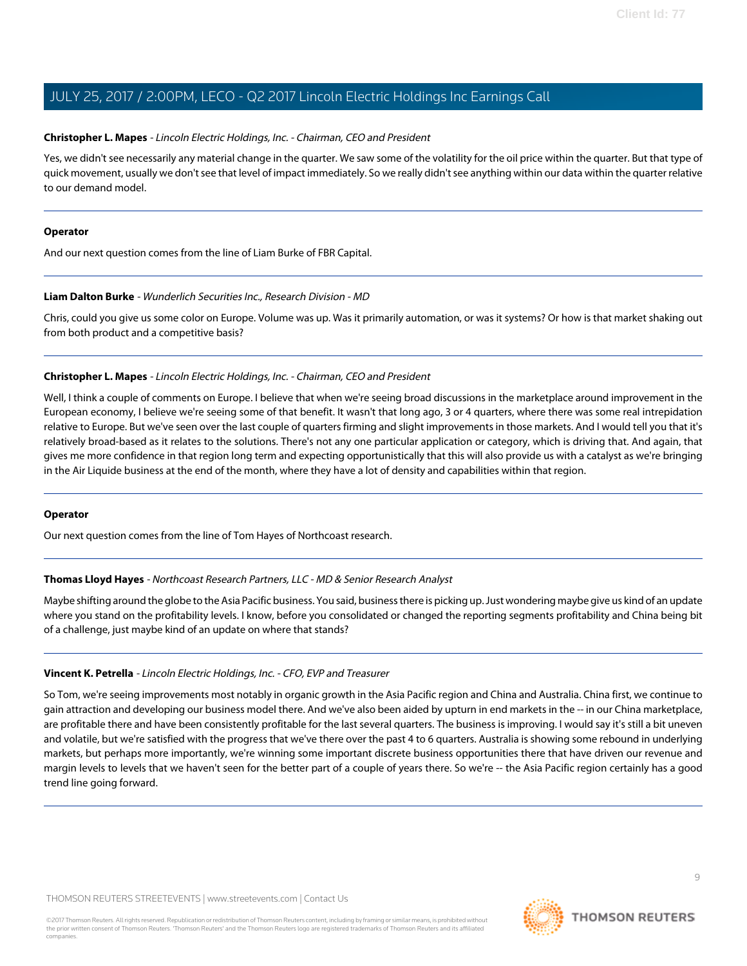#### **Christopher L. Mapes** - Lincoln Electric Holdings, Inc. - Chairman, CEO and President

Yes, we didn't see necessarily any material change in the quarter. We saw some of the volatility for the oil price within the quarter. But that type of quick movement, usually we don't see that level of impact immediately. So we really didn't see anything within our data within the quarter relative to our demand model.

#### **Operator**

<span id="page-8-0"></span>And our next question comes from the line of Liam Burke of FBR Capital.

#### **Liam Dalton Burke** - Wunderlich Securities Inc., Research Division - MD

Chris, could you give us some color on Europe. Volume was up. Was it primarily automation, or was it systems? Or how is that market shaking out from both product and a competitive basis?

#### **Christopher L. Mapes** - Lincoln Electric Holdings, Inc. - Chairman, CEO and President

Well, I think a couple of comments on Europe. I believe that when we're seeing broad discussions in the marketplace around improvement in the European economy, I believe we're seeing some of that benefit. It wasn't that long ago, 3 or 4 quarters, where there was some real intrepidation relative to Europe. But we've seen over the last couple of quarters firming and slight improvements in those markets. And I would tell you that it's relatively broad-based as it relates to the solutions. There's not any one particular application or category, which is driving that. And again, that gives me more confidence in that region long term and expecting opportunistically that this will also provide us with a catalyst as we're bringing in the Air Liquide business at the end of the month, where they have a lot of density and capabilities within that region.

#### <span id="page-8-1"></span>**Operator**

Our next question comes from the line of Tom Hayes of Northcoast research.

#### **Thomas Lloyd Hayes** - Northcoast Research Partners, LLC - MD & Senior Research Analyst

Maybe shifting around the globe to the Asia Pacific business. You said, business there is picking up. Just wondering maybe give us kind of an update where you stand on the profitability levels. I know, before you consolidated or changed the reporting segments profitability and China being bit of a challenge, just maybe kind of an update on where that stands?

#### **Vincent K. Petrella** - Lincoln Electric Holdings, Inc. - CFO, EVP and Treasurer

So Tom, we're seeing improvements most notably in organic growth in the Asia Pacific region and China and Australia. China first, we continue to gain attraction and developing our business model there. And we've also been aided by upturn in end markets in the -- in our China marketplace, are profitable there and have been consistently profitable for the last several quarters. The business is improving. I would say it's still a bit uneven and volatile, but we're satisfied with the progress that we've there over the past 4 to 6 quarters. Australia is showing some rebound in underlying markets, but perhaps more importantly, we're winning some important discrete business opportunities there that have driven our revenue and margin levels to levels that we haven't seen for the better part of a couple of years there. So we're -- the Asia Pacific region certainly has a good trend line going forward.

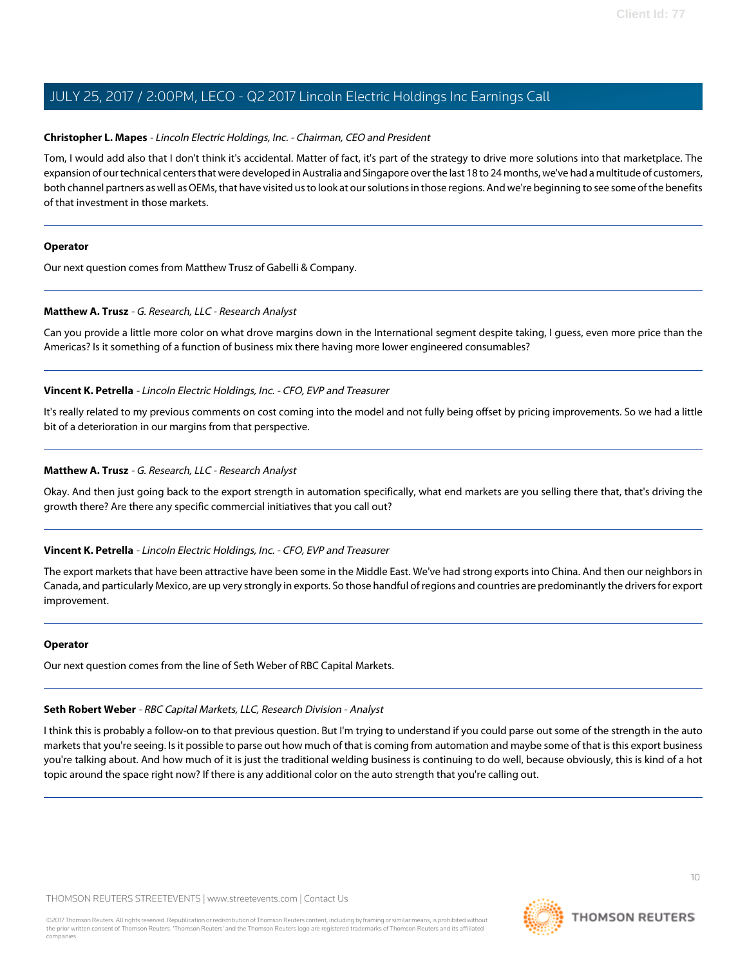#### **Christopher L. Mapes** - Lincoln Electric Holdings, Inc. - Chairman, CEO and President

Tom, I would add also that I don't think it's accidental. Matter of fact, it's part of the strategy to drive more solutions into that marketplace. The expansion of our technical centers that were developed in Australia and Singapore over the last 18 to 24 months, we've had a multitude of customers, both channel partners as well as OEMs, that have visited us to look at our solutions in those regions. And we're beginning to see some of the benefits of that investment in those markets.

#### **Operator**

<span id="page-9-0"></span>Our next question comes from Matthew Trusz of Gabelli & Company.

#### **Matthew A. Trusz** - G. Research, LLC - Research Analyst

Can you provide a little more color on what drove margins down in the International segment despite taking, I guess, even more price than the Americas? Is it something of a function of business mix there having more lower engineered consumables?

#### **Vincent K. Petrella** - Lincoln Electric Holdings, Inc. - CFO, EVP and Treasurer

It's really related to my previous comments on cost coming into the model and not fully being offset by pricing improvements. So we had a little bit of a deterioration in our margins from that perspective.

#### **Matthew A. Trusz** - G. Research, LLC - Research Analyst

Okay. And then just going back to the export strength in automation specifically, what end markets are you selling there that, that's driving the growth there? Are there any specific commercial initiatives that you call out?

#### **Vincent K. Petrella** - Lincoln Electric Holdings, Inc. - CFO, EVP and Treasurer

The export markets that have been attractive have been some in the Middle East. We've had strong exports into China. And then our neighbors in Canada, and particularly Mexico, are up very strongly in exports. So those handful of regions and countries are predominantly the drivers for export improvement.

#### <span id="page-9-1"></span>**Operator**

Our next question comes from the line of Seth Weber of RBC Capital Markets.

### **Seth Robert Weber** - RBC Capital Markets, LLC, Research Division - Analyst

I think this is probably a follow-on to that previous question. But I'm trying to understand if you could parse out some of the strength in the auto markets that you're seeing. Is it possible to parse out how much of that is coming from automation and maybe some of that is this export business you're talking about. And how much of it is just the traditional welding business is continuing to do well, because obviously, this is kind of a hot topic around the space right now? If there is any additional color on the auto strength that you're calling out.

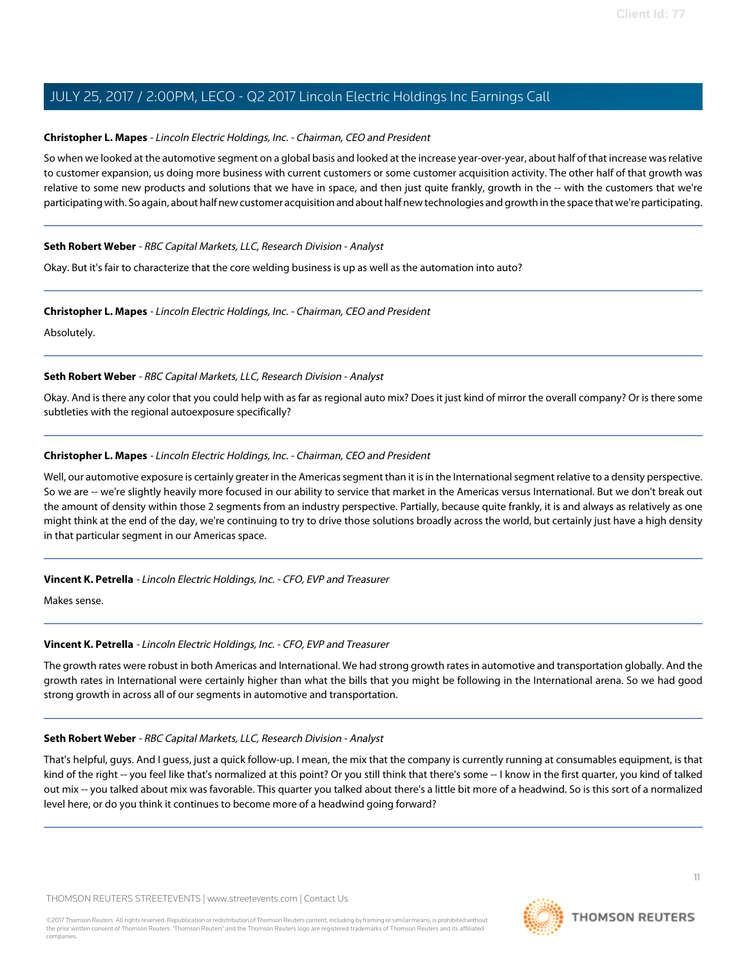#### **Christopher L. Mapes** - Lincoln Electric Holdings, Inc. - Chairman, CEO and President

So when we looked at the automotive segment on a global basis and looked at the increase year-over-year, about half of that increase was relative to customer expansion, us doing more business with current customers or some customer acquisition activity. The other half of that growth was relative to some new products and solutions that we have in space, and then just quite frankly, growth in the -- with the customers that we're participating with. So again, about half new customer acquisition and about half new technologies and growth in the space that we're participating.

#### **Seth Robert Weber** - RBC Capital Markets, LLC, Research Division - Analyst

Okay. But it's fair to characterize that the core welding business is up as well as the automation into auto?

#### **Christopher L. Mapes** - Lincoln Electric Holdings, Inc. - Chairman, CEO and President

Absolutely.

#### **Seth Robert Weber** - RBC Capital Markets, LLC, Research Division - Analyst

Okay. And is there any color that you could help with as far as regional auto mix? Does it just kind of mirror the overall company? Or is there some subtleties with the regional autoexposure specifically?

#### **Christopher L. Mapes** - Lincoln Electric Holdings, Inc. - Chairman, CEO and President

Well, our automotive exposure is certainly greater in the Americas segment than it is in the International segment relative to a density perspective. So we are -- we're slightly heavily more focused in our ability to service that market in the Americas versus International. But we don't break out the amount of density within those 2 segments from an industry perspective. Partially, because quite frankly, it is and always as relatively as one might think at the end of the day, we're continuing to try to drive those solutions broadly across the world, but certainly just have a high density in that particular segment in our Americas space.

#### **Vincent K. Petrella** - Lincoln Electric Holdings, Inc. - CFO, EVP and Treasurer

Makes sense.

#### **Vincent K. Petrella** - Lincoln Electric Holdings, Inc. - CFO, EVP and Treasurer

The growth rates were robust in both Americas and International. We had strong growth rates in automotive and transportation globally. And the growth rates in International were certainly higher than what the bills that you might be following in the International arena. So we had good strong growth in across all of our segments in automotive and transportation.

#### **Seth Robert Weber** - RBC Capital Markets, LLC, Research Division - Analyst

That's helpful, guys. And I guess, just a quick follow-up. I mean, the mix that the company is currently running at consumables equipment, is that kind of the right -- you feel like that's normalized at this point? Or you still think that there's some -- I know in the first quarter, you kind of talked out mix -- you talked about mix was favorable. This quarter you talked about there's a little bit more of a headwind. So is this sort of a normalized level here, or do you think it continues to become more of a headwind going forward?

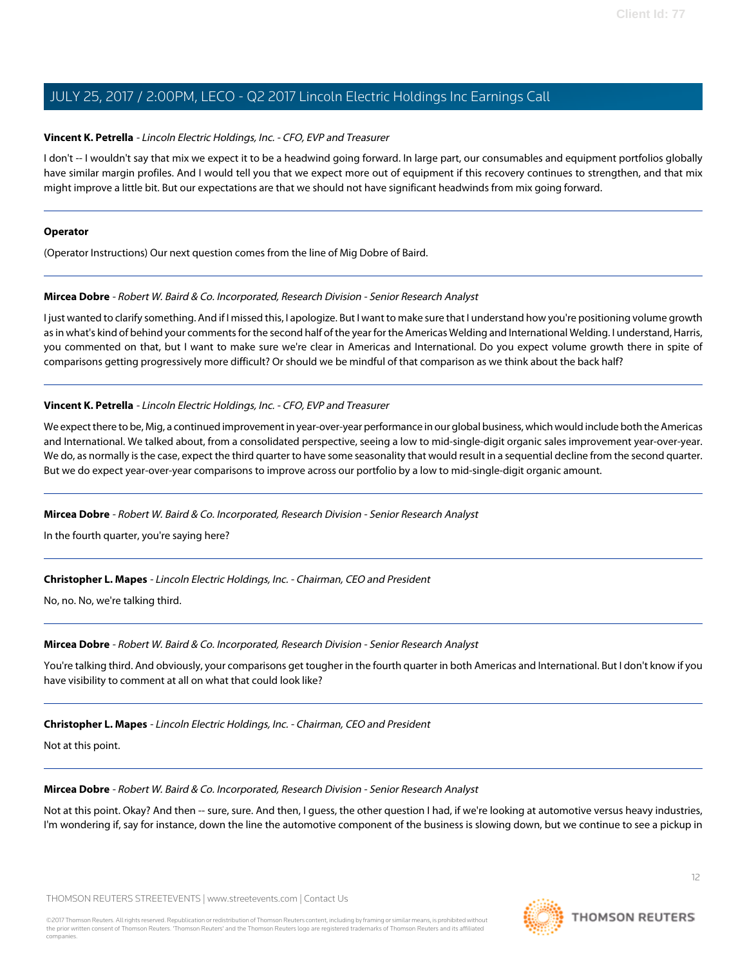#### **Vincent K. Petrella** - Lincoln Electric Holdings, Inc. - CFO, EVP and Treasurer

I don't -- I wouldn't say that mix we expect it to be a headwind going forward. In large part, our consumables and equipment portfolios globally have similar margin profiles. And I would tell you that we expect more out of equipment if this recovery continues to strengthen, and that mix might improve a little bit. But our expectations are that we should not have significant headwinds from mix going forward.

#### **Operator**

(Operator Instructions) Our next question comes from the line of Mig Dobre of Baird.

#### **Mircea Dobre** - Robert W. Baird & Co. Incorporated, Research Division - Senior Research Analyst

I just wanted to clarify something. And if I missed this, I apologize. But I want to make sure that I understand how you're positioning volume growth as in what's kind of behind your comments for the second half of the year for the Americas Welding and International Welding. I understand, Harris, you commented on that, but I want to make sure we're clear in Americas and International. Do you expect volume growth there in spite of comparisons getting progressively more difficult? Or should we be mindful of that comparison as we think about the back half?

#### **Vincent K. Petrella** - Lincoln Electric Holdings, Inc. - CFO, EVP and Treasurer

We expect there to be, Mig, a continued improvement in year-over-year performance in our global business, which would include both the Americas and International. We talked about, from a consolidated perspective, seeing a low to mid-single-digit organic sales improvement year-over-year. We do, as normally is the case, expect the third quarter to have some seasonality that would result in a sequential decline from the second quarter. But we do expect year-over-year comparisons to improve across our portfolio by a low to mid-single-digit organic amount.

#### **Mircea Dobre** - Robert W. Baird & Co. Incorporated, Research Division - Senior Research Analyst

In the fourth quarter, you're saying here?

#### **Christopher L. Mapes** - Lincoln Electric Holdings, Inc. - Chairman, CEO and President

No, no. No, we're talking third.

### **Mircea Dobre** - Robert W. Baird & Co. Incorporated, Research Division - Senior Research Analyst

You're talking third. And obviously, your comparisons get tougher in the fourth quarter in both Americas and International. But I don't know if you have visibility to comment at all on what that could look like?

### **Christopher L. Mapes** - Lincoln Electric Holdings, Inc. - Chairman, CEO and President

Not at this point.

### **Mircea Dobre** - Robert W. Baird & Co. Incorporated, Research Division - Senior Research Analyst

Not at this point. Okay? And then -- sure, sure. And then, I guess, the other question I had, if we're looking at automotive versus heavy industries, I'm wondering if, say for instance, down the line the automotive component of the business is slowing down, but we continue to see a pickup in